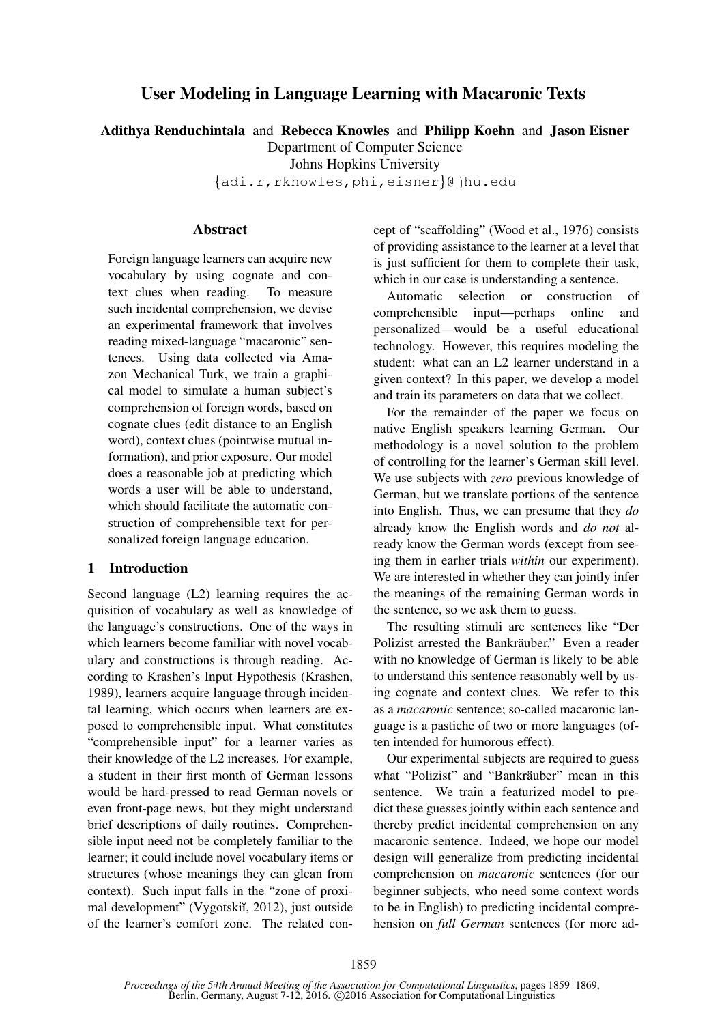# User Modeling in Language Learning with Macaronic Texts

Adithya Renduchintala and Rebecca Knowles and Philipp Koehn and Jason Eisner

Department of Computer Science

Johns Hopkins University

{adi.r,rknowles,phi,eisner}@jhu.edu

# **Abstract**

Foreign language learners can acquire new vocabulary by using cognate and context clues when reading. To measure such incidental comprehension, we devise an experimental framework that involves reading mixed-language "macaronic" sentences. Using data collected via Amazon Mechanical Turk, we train a graphical model to simulate a human subject's comprehension of foreign words, based on cognate clues (edit distance to an English word), context clues (pointwise mutual information), and prior exposure. Our model does a reasonable job at predicting which words a user will be able to understand, which should facilitate the automatic construction of comprehensible text for personalized foreign language education.

# 1 Introduction

Second language (L2) learning requires the acquisition of vocabulary as well as knowledge of the language's constructions. One of the ways in which learners become familiar with novel vocabulary and constructions is through reading. According to Krashen's Input Hypothesis (Krashen, 1989), learners acquire language through incidental learning, which occurs when learners are exposed to comprehensible input. What constitutes "comprehensible input" for a learner varies as their knowledge of the L2 increases. For example, a student in their first month of German lessons would be hard-pressed to read German novels or even front-page news, but they might understand brief descriptions of daily routines. Comprehensible input need not be completely familiar to the learner; it could include novel vocabulary items or structures (whose meanings they can glean from context). Such input falls in the "zone of proximal development" (Vygotskiĭ, 2012), just outside of the learner's comfort zone. The related concept of "scaffolding" (Wood et al., 1976) consists of providing assistance to the learner at a level that is just sufficient for them to complete their task, which in our case is understanding a sentence.

Automatic selection or construction of comprehensible input—perhaps online and personalized—would be a useful educational technology. However, this requires modeling the student: what can an L2 learner understand in a given context? In this paper, we develop a model and train its parameters on data that we collect.

For the remainder of the paper we focus on native English speakers learning German. Our methodology is a novel solution to the problem of controlling for the learner's German skill level. We use subjects with *zero* previous knowledge of German, but we translate portions of the sentence into English. Thus, we can presume that they *do* already know the English words and *do not* already know the German words (except from seeing them in earlier trials *within* our experiment). We are interested in whether they can jointly infer the meanings of the remaining German words in the sentence, so we ask them to guess.

The resulting stimuli are sentences like "Der Polizist arrested the Bankräuber." Even a reader with no knowledge of German is likely to be able to understand this sentence reasonably well by using cognate and context clues. We refer to this as a *macaronic* sentence; so-called macaronic language is a pastiche of two or more languages (often intended for humorous effect).

Our experimental subjects are required to guess what "Polizist" and "Bankräuber" mean in this sentence. We train a featurized model to predict these guesses jointly within each sentence and thereby predict incidental comprehension on any macaronic sentence. Indeed, we hope our model design will generalize from predicting incidental comprehension on *macaronic* sentences (for our beginner subjects, who need some context words to be in English) to predicting incidental comprehension on *full German* sentences (for more ad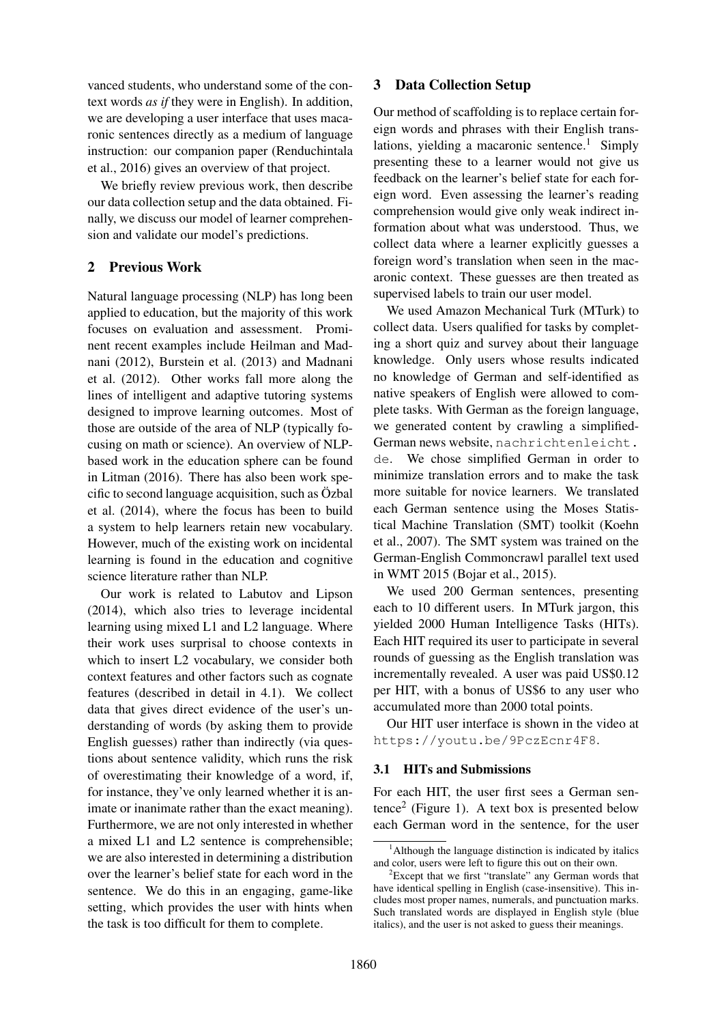vanced students, who understand some of the context words *as if* they were in English). In addition, we are developing a user interface that uses macaronic sentences directly as a medium of language instruction: our companion paper (Renduchintala et al., 2016) gives an overview of that project.

We briefly review previous work, then describe our data collection setup and the data obtained. Finally, we discuss our model of learner comprehension and validate our model's predictions.

# 2 Previous Work

Natural language processing (NLP) has long been applied to education, but the majority of this work focuses on evaluation and assessment. Prominent recent examples include Heilman and Madnani (2012), Burstein et al. (2013) and Madnani et al. (2012). Other works fall more along the lines of intelligent and adaptive tutoring systems designed to improve learning outcomes. Most of those are outside of the area of NLP (typically focusing on math or science). An overview of NLPbased work in the education sphere can be found in Litman (2016). There has also been work specific to second language acquisition, such as Ozbal et al. (2014), where the focus has been to build a system to help learners retain new vocabulary. However, much of the existing work on incidental learning is found in the education and cognitive science literature rather than NLP.

Our work is related to Labutov and Lipson (2014), which also tries to leverage incidental learning using mixed L1 and L2 language. Where their work uses surprisal to choose contexts in which to insert L2 vocabulary, we consider both context features and other factors such as cognate features (described in detail in 4.1). We collect data that gives direct evidence of the user's understanding of words (by asking them to provide English guesses) rather than indirectly (via questions about sentence validity, which runs the risk of overestimating their knowledge of a word, if, for instance, they've only learned whether it is animate or inanimate rather than the exact meaning). Furthermore, we are not only interested in whether a mixed L1 and L2 sentence is comprehensible; we are also interested in determining a distribution over the learner's belief state for each word in the sentence. We do this in an engaging, game-like setting, which provides the user with hints when the task is too difficult for them to complete.

# 3 Data Collection Setup

Our method of scaffolding is to replace certain foreign words and phrases with their English translations, yielding a macaronic sentence.<sup>1</sup> Simply presenting these to a learner would not give us feedback on the learner's belief state for each foreign word. Even assessing the learner's reading comprehension would give only weak indirect information about what was understood. Thus, we collect data where a learner explicitly guesses a foreign word's translation when seen in the macaronic context. These guesses are then treated as supervised labels to train our user model.

We used Amazon Mechanical Turk (MTurk) to collect data. Users qualified for tasks by completing a short quiz and survey about their language knowledge. Only users whose results indicated no knowledge of German and self-identified as native speakers of English were allowed to complete tasks. With German as the foreign language, we generated content by crawling a simplified-German news website, nachrichtenleicht. de. We chose simplified German in order to minimize translation errors and to make the task more suitable for novice learners. We translated each German sentence using the Moses Statistical Machine Translation (SMT) toolkit (Koehn et al., 2007). The SMT system was trained on the German-English Commoncrawl parallel text used in WMT 2015 (Bojar et al., 2015).

We used 200 German sentences, presenting each to 10 different users. In MTurk jargon, this yielded 2000 Human Intelligence Tasks (HITs). Each HIT required its user to participate in several rounds of guessing as the English translation was incrementally revealed. A user was paid US\$0.12 per HIT, with a bonus of US\$6 to any user who accumulated more than 2000 total points.

Our HIT user interface is shown in the video at https://youtu.be/9PczEcnr4F8.

# 3.1 HITs and Submissions

For each HIT, the user first sees a German sen $tence<sup>2</sup>$  (Figure 1). A text box is presented below each German word in the sentence, for the user

 $<sup>1</sup>$ Although the language distinction is indicated by italics</sup> and color, users were left to figure this out on their own.

<sup>&</sup>lt;sup>2</sup>Except that we first "translate" any German words that have identical spelling in English (case-insensitive). This includes most proper names, numerals, and punctuation marks. Such translated words are displayed in English style (blue italics), and the user is not asked to guess their meanings.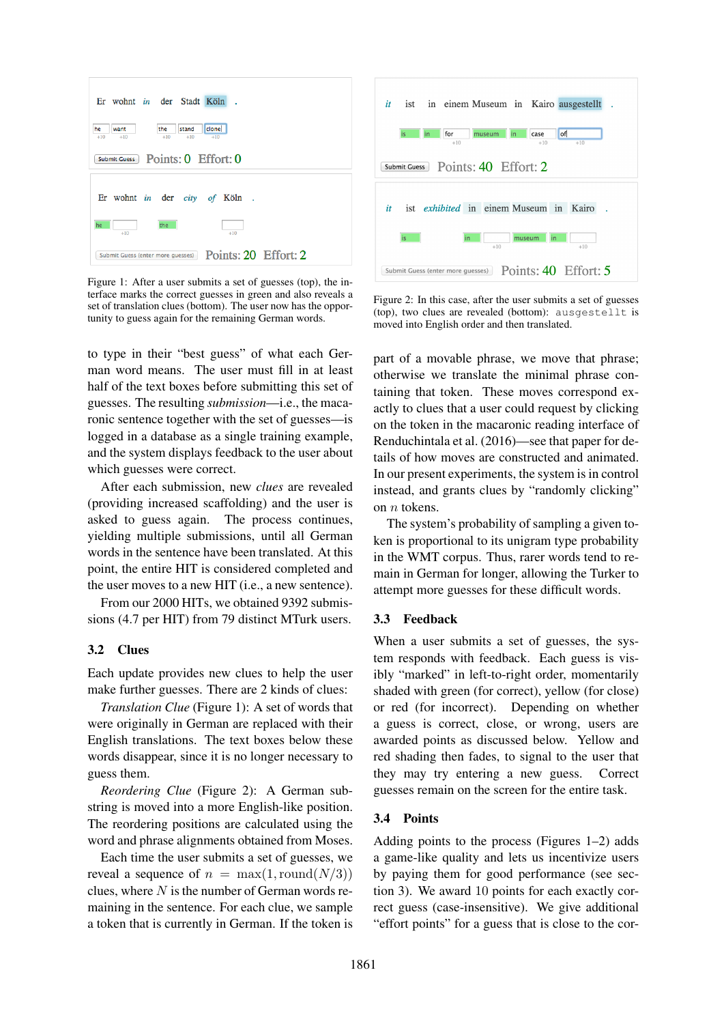

Figure 1: After a user submits a set of guesses (top), the interface marks the correct guesses in green and also reveals a set of translation clues (bottom). The user now has the opportunity to guess again for the remaining German words.

to type in their "best guess" of what each German word means. The user must fill in at least half of the text boxes before submitting this set of guesses. The resulting *submission*—i.e., the macaronic sentence together with the set of guesses—is logged in a database as a single training example, and the system displays feedback to the user about which guesses were correct.

After each submission, new *clues* are revealed (providing increased scaffolding) and the user is asked to guess again. The process continues, yielding multiple submissions, until all German words in the sentence have been translated. At this point, the entire HIT is considered completed and the user moves to a new HIT (i.e., a new sentence).

From our 2000 HITs, we obtained 9392 submissions (4.7 per HIT) from 79 distinct MTurk users.

# 3.2 Clues

Each update provides new clues to help the user make further guesses. There are 2 kinds of clues:

*Translation Clue* (Figure 1): A set of words that were originally in German are replaced with their English translations. The text boxes below these words disappear, since it is no longer necessary to guess them.

*Reordering Clue* (Figure 2): A German substring is moved into a more English-like position. The reordering positions are calculated using the word and phrase alignments obtained from Moses.

Each time the user submits a set of guesses, we reveal a sequence of  $n = \max(1, \text{round}(N/3))$ clues, where  $N$  is the number of German words remaining in the sentence. For each clue, we sample a token that is currently in German. If the token is



Figure 2: In this case, after the user submits a set of guesses (top), two clues are revealed (bottom): ausgestellt is moved into English order and then translated.

part of a movable phrase, we move that phrase; otherwise we translate the minimal phrase containing that token. These moves correspond exactly to clues that a user could request by clicking on the token in the macaronic reading interface of Renduchintala et al. (2016)—see that paper for details of how moves are constructed and animated. In our present experiments, the system is in control instead, and grants clues by "randomly clicking" on n tokens.

The system's probability of sampling a given token is proportional to its unigram type probability in the WMT corpus. Thus, rarer words tend to remain in German for longer, allowing the Turker to attempt more guesses for these difficult words.

## 3.3 Feedback

When a user submits a set of guesses, the system responds with feedback. Each guess is visibly "marked" in left-to-right order, momentarily shaded with green (for correct), yellow (for close) or red (for incorrect). Depending on whether a guess is correct, close, or wrong, users are awarded points as discussed below. Yellow and red shading then fades, to signal to the user that they may try entering a new guess. Correct guesses remain on the screen for the entire task.

# 3.4 Points

Adding points to the process (Figures 1–2) adds a game-like quality and lets us incentivize users by paying them for good performance (see section 3). We award 10 points for each exactly correct guess (case-insensitive). We give additional "effort points" for a guess that is close to the cor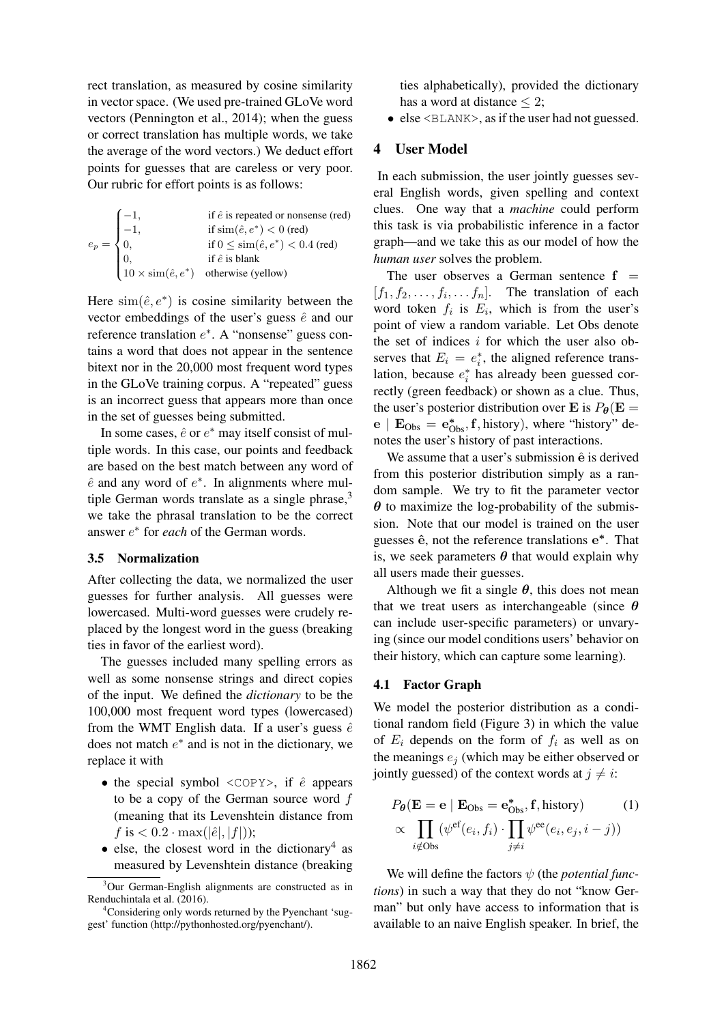rect translation, as measured by cosine similarity in vector space. (We used pre-trained GLoVe word vectors (Pennington et al., 2014); when the guess or correct translation has multiple words, we take the average of the word vectors.) We deduct effort points for guesses that are careless or very poor. Our rubric for effort points is as follows:

$$
e_p = \begin{cases}\n-1, & \text{if } \hat{e} \text{ is repeated or nonsense (red)} \\
-1, & \text{if } \sin(\hat{e}, e^*) < 0 \text{ (red)} \\
0, & \text{if } 0 \le \sin(\hat{e}, e^*) < 0.4 \text{ (red)} \\
0, & \text{if } \hat{e} \text{ is blank} \\
10 \times \sin(\hat{e}, e^*) & \text{otherwise (yellow)}\n\end{cases}
$$

Here  $\text{sim}(\hat{e}, e^*)$  is cosine similarity between the vector embeddings of the user's guess  $\hat{e}$  and our reference translation  $e^*$ . A "nonsense" guess contains a word that does not appear in the sentence bitext nor in the 20,000 most frequent word types in the GLoVe training corpus. A "repeated" guess is an incorrect guess that appears more than once in the set of guesses being submitted.

In some cases,  $\hat{e}$  or  $e^*$  may itself consist of multiple words. In this case, our points and feedback are based on the best match between any word of  $\hat{e}$  and any word of  $e^*$ . In alignments where multiple German words translate as a single phrase, $3$ we take the phrasal translation to be the correct answer e ∗ for *each* of the German words.

## 3.5 Normalization

After collecting the data, we normalized the user guesses for further analysis. All guesses were lowercased. Multi-word guesses were crudely replaced by the longest word in the guess (breaking ties in favor of the earliest word).

The guesses included many spelling errors as well as some nonsense strings and direct copies of the input. We defined the *dictionary* to be the 100,000 most frequent word types (lowercased) from the WMT English data. If a user's guess  $\hat{e}$ does not match  $e^*$  and is not in the dictionary, we replace it with

- the special symbol  $\langle \text{COPY} \rangle$ , if  $\hat{e}$  appears to be a copy of the German source word  $f$ (meaning that its Levenshtein distance from  $f$  is  $< 0.2 \cdot \max(|\hat{e}|, |f|)$ ;
- else, the closest word in the dictionary<sup>4</sup> as measured by Levenshtein distance (breaking

ties alphabetically), provided the dictionary has a word at distance  $\leq$  2:

• else <BLANK>, as if the user had not guessed.

# 4 User Model

In each submission, the user jointly guesses several English words, given spelling and context clues. One way that a *machine* could perform this task is via probabilistic inference in a factor graph—and we take this as our model of how the *human user* solves the problem.

The user observes a German sentence  $f =$  $[f_1, f_2, \ldots, f_i, \ldots, f_n].$  The translation of each word token  $f_i$  is  $E_i$ , which is from the user's point of view a random variable. Let Obs denote the set of indices  $i$  for which the user also observes that  $E_i = e_i^*$ , the aligned reference translation, because  $e_i^*$  has already been guessed correctly (green feedback) or shown as a clue. Thus, the user's posterior distribution over E is  $P_{\theta}(\mathbf{E} =$  $e \mid E_{Obs} = e_{Obs}^*$ , f, history), where "history" denotes the user's history of past interactions.

We assume that a user's submission  $\hat{\mathbf{e}}$  is derived from this posterior distribution simply as a random sample. We try to fit the parameter vector  $\theta$  to maximize the log-probability of the submission. Note that our model is trained on the user guesses ê, not the reference translations e\*. That is, we seek parameters  $\theta$  that would explain why all users made their guesses.

Although we fit a single  $\theta$ , this does not mean that we treat users as interchangeable (since  $\theta$ can include user-specific parameters) or unvarying (since our model conditions users' behavior on their history, which can capture some learning).

#### 4.1 Factor Graph

We model the posterior distribution as a conditional random field (Figure 3) in which the value of  $E_i$  depends on the form of  $f_i$  as well as on the meanings  $e_i$  (which may be either observed or jointly guessed) of the context words at  $j \neq i$ :

$$
P_{\theta}(\mathbf{E} = \mathbf{e} \mid \mathbf{E}_{\text{Obs}} = \mathbf{e}_{\text{Obs}}^{*}, \mathbf{f}, \text{history}) \qquad (1)
$$

$$
\propto \prod_{i \notin \text{Obs}} (\psi^{\text{ef}}(e_i, f_i) \cdot \prod_{j \neq i} \psi^{\text{ee}}(e_i, e_j, i - j))
$$

We will define the factors  $\psi$  (the *potential functions*) in such a way that they do not "know German" but only have access to information that is available to an naive English speaker. In brief, the

<sup>&</sup>lt;sup>3</sup>Our German-English alignments are constructed as in Renduchintala et al. (2016).

<sup>4</sup>Considering only words returned by the Pyenchant 'suggest' function (http://pythonhosted.org/pyenchant/).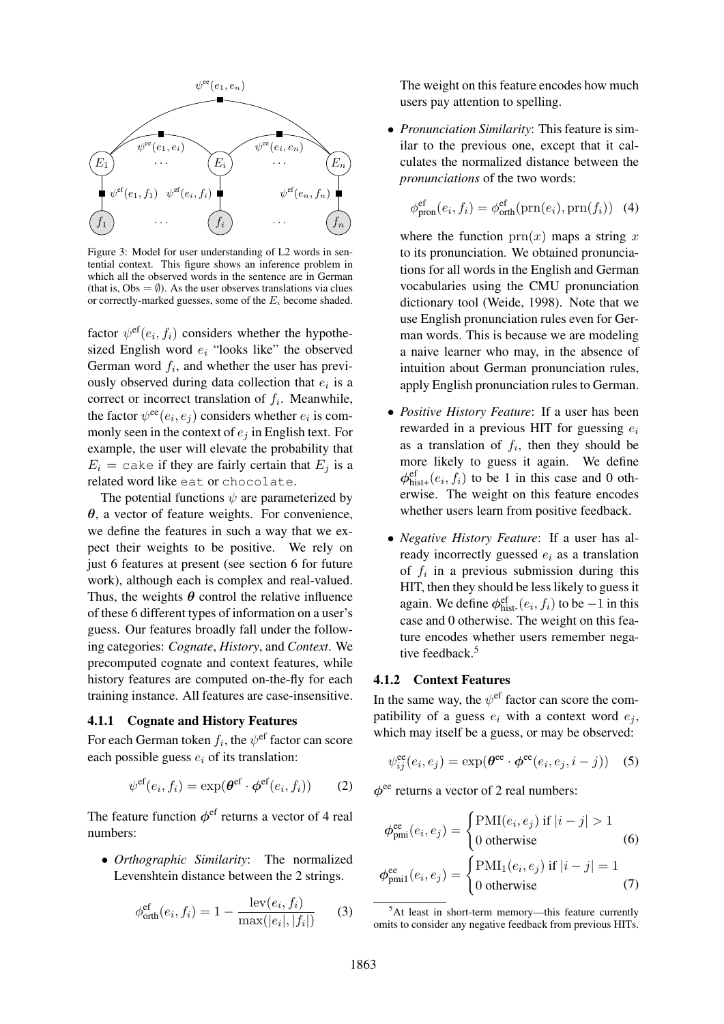

Figure 3: Model for user understanding of L2 words in sentential context. This figure shows an inference problem in which all the observed words in the sentence are in German (that is,  $Obs = \emptyset$ ). As the user observes translations via clues or correctly-marked guesses, some of the  $E_i$  become shaded.

factor  $\psi^{\text{ef}}(e_i, f_i)$  considers whether the hypothesized English word  $e_i$  "looks like" the observed German word  $f_i$ , and whether the user has previously observed during data collection that  $e_i$  is a correct or incorrect translation of  $f_i$ . Meanwhile, the factor  $\psi^{\rm ee}(e_i, e_j)$  considers whether  $e_i$  is commonly seen in the context of  $e_i$  in English text. For example, the user will elevate the probability that  $E_i$  = cake if they are fairly certain that  $E_i$  is a related word like eat or chocolate.

The potential functions  $\psi$  are parameterized by  $\theta$ , a vector of feature weights. For convenience, we define the features in such a way that we expect their weights to be positive. We rely on just 6 features at present (see section 6 for future work), although each is complex and real-valued. Thus, the weights  $\theta$  control the relative influence of these 6 different types of information on a user's guess. Our features broadly fall under the following categories: *Cognate*, *History*, and *Context*. We precomputed cognate and context features, while history features are computed on-the-fly for each training instance. All features are case-insensitive.

# 4.1.1 Cognate and History Features

For each German token  $f_i$ , the  $\psi^\text{ef}$  factor can score each possible guess  $e_i$  of its translation:

$$
\psi^{\text{ef}}(e_i, f_i) = \exp(\boldsymbol{\theta}^{\text{ef}} \cdot \boldsymbol{\phi}^{\text{ef}}(e_i, f_i)) \qquad (2)
$$

The feature function  $\phi^{\text{ef}}$  returns a vector of 4 real numbers:

• *Orthographic Similarity*: The normalized Levenshtein distance between the 2 strings.

$$
\phi_{\text{orth}}^{\text{ef}}(e_i, f_i) = 1 - \frac{\text{lev}(e_i, f_i)}{\max(|e_i|, |f_i|)}
$$
(3)

The weight on this feature encodes how much users pay attention to spelling.

• *Pronunciation Similarity*: This feature is similar to the previous one, except that it calculates the normalized distance between the *pronunciations* of the two words:

$$
\phi_{\text{pron}}^{\text{ef}}(e_i, f_i) = \phi_{\text{orth}}^{\text{ef}}(\text{prn}(e_i), \text{prn}(f_i)) \quad (4)
$$

where the function  $\text{prn}(x)$  maps a string x to its pronunciation. We obtained pronunciations for all words in the English and German vocabularies using the CMU pronunciation dictionary tool (Weide, 1998). Note that we use English pronunciation rules even for German words. This is because we are modeling a naive learner who may, in the absence of intuition about German pronunciation rules, apply English pronunciation rules to German.

- *Positive History Feature*: If a user has been rewarded in a previous HIT for guessing  $e_i$ as a translation of  $f_i$ , then they should be more likely to guess it again. We define  $\phi_{\text{hist}+}^{\text{ef}}(e_i, f_i)$  to be 1 in this case and 0 otherwise. The weight on this feature encodes whether users learn from positive feedback.
- *Negative History Feature*: If a user has already incorrectly guessed  $e_i$  as a translation of  $f_i$  in a previous submission during this HIT, then they should be less likely to guess it again. We define  $\phi_{\text{hist}}^{\text{ef}}(e_i, f_i)$  to be  $-1$  in this case and 0 otherwise. The weight on this feature encodes whether users remember negative feedback.<sup>5</sup>

# 4.1.2 Context Features

In the same way, the  $\psi^{\text{ef}}$  factor can score the compatibility of a guess  $e_i$  with a context word  $e_i$ , which may itself be a guess, or may be observed:

$$
\psi_{ij}^{\text{ee}}(e_i, e_j) = \exp(\boldsymbol{\theta}^{\text{ee}} \cdot \boldsymbol{\phi}^{\text{ee}}(e_i, e_j, i - j)) \quad (5)
$$

 $\phi^{\text{ee}}$  returns a vector of 2 real numbers:

$$
\phi_{pmi}^{ee}(e_i, e_j) = \begin{cases} \text{PMI}(e_i, e_j) \text{ if } |i - j| > 1\\ 0 \text{ otherwise} \end{cases}
$$
(6)

$$
\phi_{pmi1}^{ee}(e_i, e_j) = \begin{cases} \text{PMI}_1(e_i, e_j) \text{ if } |i - j| = 1\\ 0 \text{ otherwise} \end{cases}
$$
(7)

 $5$ At least in short-term memory—this feature currently omits to consider any negative feedback from previous HITs.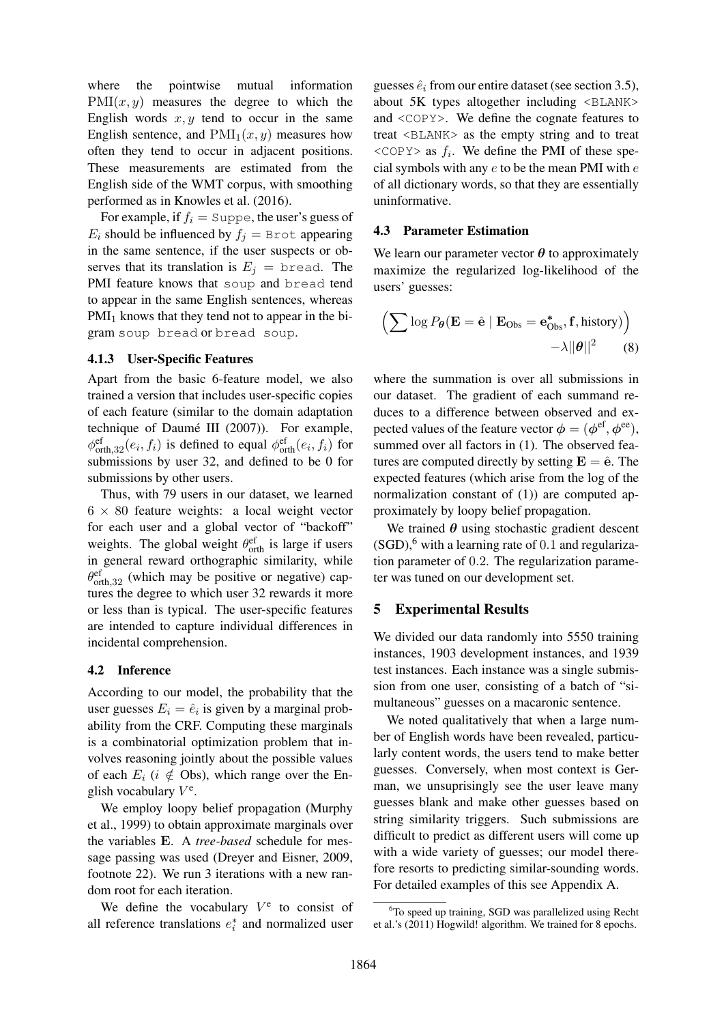where the pointwise mutual information  $PMI(x, y)$  measures the degree to which the English words  $x, y$  tend to occur in the same English sentence, and  $\text{PMI}_1(x, y)$  measures how often they tend to occur in adjacent positions. These measurements are estimated from the English side of the WMT corpus, with smoothing performed as in Knowles et al. (2016).

For example, if  $f_i = \text{Suppe}$ , the user's guess of  $E_i$  should be influenced by  $f_i = B$ rot appearing in the same sentence, if the user suspects or observes that its translation is  $E_j$  = bread. The PMI feature knows that soup and bread tend to appear in the same English sentences, whereas  $PMI<sub>1</sub>$  knows that they tend not to appear in the bigram soup bread or bread soup.

#### 4.1.3 User-Specific Features

Apart from the basic 6-feature model, we also trained a version that includes user-specific copies of each feature (similar to the domain adaptation technique of Daumé III (2007)). For example,  $\phi_{\text{orth},32}^{\text{ef}}(e_i,f_i)$  is defined to equal  $\phi_{\text{orth}}^{\text{ef}}(e_i,f_i)$  for submissions by user 32, and defined to be 0 for submissions by other users.

Thus, with 79 users in our dataset, we learned  $6 \times 80$  feature weights: a local weight vector for each user and a global vector of "backoff" weights. The global weight  $\theta_{\text{orth}}^{\text{ef}}$  is large if users in general reward orthographic similarity, while  $\theta_{\text{orth},32}^{\text{ef}}$  (which may be positive or negative) captures the degree to which user 32 rewards it more or less than is typical. The user-specific features are intended to capture individual differences in incidental comprehension.

#### 4.2 Inference

According to our model, the probability that the user guesses  $E_i = \hat{e}_i$  is given by a marginal probability from the CRF. Computing these marginals is a combinatorial optimization problem that involves reasoning jointly about the possible values of each  $E_i$  (i  $\notin$  Obs), which range over the English vocabulary  $V^e$ .

We employ loopy belief propagation (Murphy et al., 1999) to obtain approximate marginals over the variables E. A *tree-based* schedule for message passing was used (Dreyer and Eisner, 2009, footnote 22). We run 3 iterations with a new random root for each iteration.

We define the vocabulary  $V^e$  to consist of all reference translations  $e_i^*$  and normalized user

guesses  $\hat{e}_i$  from our entire dataset (see section 3.5), about  $5K$  types altogether including  $\langle \text{BLANK} \rangle$ and <COPY>. We define the cognate features to treat <BLANK> as the empty string and to treat  $\langle \text{COPY} \rangle$  as  $f_i$ . We define the PMI of these special symbols with any  $e$  to be the mean PMI with  $e$ of all dictionary words, so that they are essentially uninformative.

# 4.3 Parameter Estimation

We learn our parameter vector  $\theta$  to approximately maximize the regularized log-likelihood of the users' guesses:

$$
\left(\sum \log P_{\theta}(\mathbf{E} = \hat{\mathbf{e}} \mid \mathbf{E}_{\text{Obs}} = \mathbf{e}_{\text{Obs}}^{*}, \mathbf{f}, \text{history})\right) - \lambda ||\theta||^{2} \qquad (8)
$$

where the summation is over all submissions in our dataset. The gradient of each summand reduces to a difference between observed and expected values of the feature vector  $\phi = (\phi^{\text{ef}}, \phi^{\text{ee}})$ , summed over all factors in  $(1)$ . The observed features are computed directly by setting  $E = \hat{e}$ . The expected features (which arise from the log of the normalization constant of (1)) are computed approximately by loopy belief propagation.

We trained  $\theta$  using stochastic gradient descent  $(SGD)$ , with a learning rate of 0.1 and regularization parameter of 0.2. The regularization parameter was tuned on our development set.

# 5 Experimental Results

We divided our data randomly into 5550 training instances, 1903 development instances, and 1939 test instances. Each instance was a single submission from one user, consisting of a batch of "simultaneous" guesses on a macaronic sentence.

We noted qualitatively that when a large number of English words have been revealed, particularly content words, the users tend to make better guesses. Conversely, when most context is German, we unsuprisingly see the user leave many guesses blank and make other guesses based on string similarity triggers. Such submissions are difficult to predict as different users will come up with a wide variety of guesses; our model therefore resorts to predicting similar-sounding words. For detailed examples of this see Appendix A.

<sup>&</sup>lt;sup>6</sup>To speed up training, SGD was parallelized using Recht et al.'s (2011) Hogwild! algorithm. We trained for 8 epochs.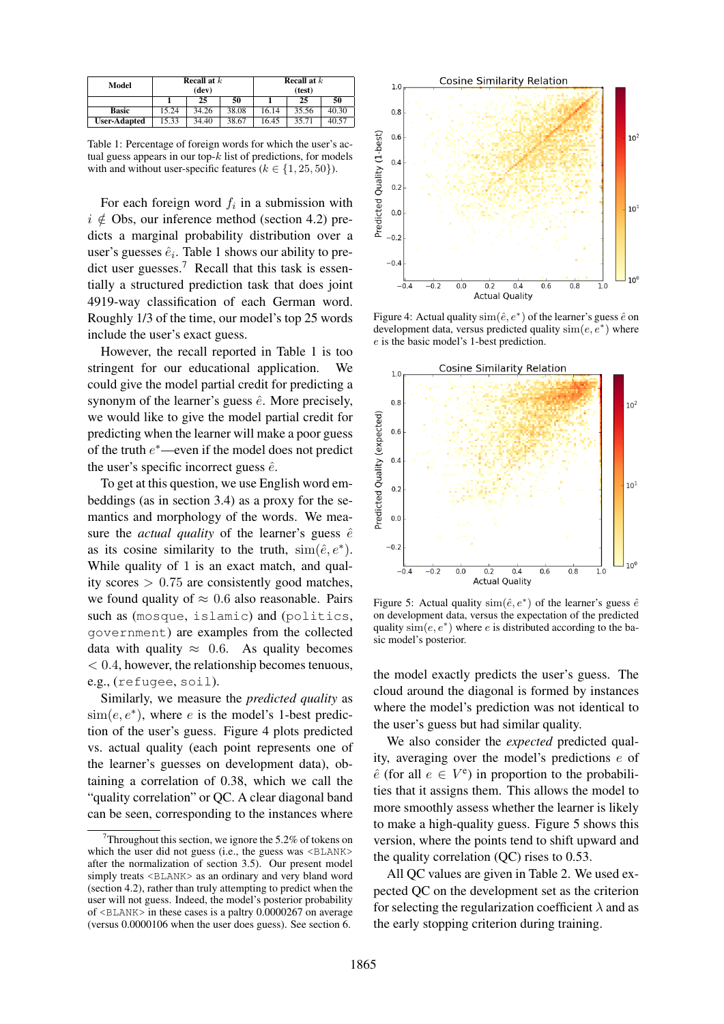| Model               | <b>Recall at</b> $k$<br>(dev) |       |       | <b>Recall at</b> $k$<br>(test) |       |       |
|---------------------|-------------------------------|-------|-------|--------------------------------|-------|-------|
|                     |                               | 25    | 50    |                                | 25    | 50    |
| <b>Basic</b>        | 15.24                         | 34.26 | 38.08 | 16.14                          | 35.56 | 40.30 |
| <b>User-Adapted</b> | 15.33                         | 34.40 | 38.67 | 16.45                          | 35.71 | 40.57 |

Table 1: Percentage of foreign words for which the user's actual guess appears in our top- $k$  list of predictions, for models with and without user-specific features ( $k \in \{1, 25, 50\}$ ).

For each foreign word  $f_i$  in a submission with  $i \notin$  Obs, our inference method (section 4.2) predicts a marginal probability distribution over a user's guesses  $\hat{e}_i$ . Table 1 shows our ability to predict user guesses.<sup>7</sup> Recall that this task is essentially a structured prediction task that does joint 4919-way classification of each German word. Roughly 1/3 of the time, our model's top 25 words include the user's exact guess.

However, the recall reported in Table 1 is too stringent for our educational application. We could give the model partial credit for predicting a synonym of the learner's guess  $\hat{e}$ . More precisely, we would like to give the model partial credit for predicting when the learner will make a poor guess of the truth  $e^*$ —even if the model does not predict the user's specific incorrect guess  $\hat{e}$ .

To get at this question, we use English word embeddings (as in section 3.4) as a proxy for the semantics and morphology of the words. We measure the *actual quality* of the learner's guess  $\hat{e}$ as its cosine similarity to the truth,  $\text{sim}(\hat{e}, e^*)$ . While quality of 1 is an exact match, and quality scores  $> 0.75$  are consistently good matches, we found quality of  $\approx 0.6$  also reasonable. Pairs such as (mosque, islamic) and (politics, government) are examples from the collected data with quality  $\approx$  0.6. As quality becomes  $< 0.4$ , however, the relationship becomes tenuous, e.g., (refugee, soil).

Similarly, we measure the *predicted quality* as  $\text{sim}(e, e^*)$ , where *e* is the model's 1-best prediction of the user's guess. Figure 4 plots predicted vs. actual quality (each point represents one of the learner's guesses on development data), obtaining a correlation of 0.38, which we call the "quality correlation" or QC. A clear diagonal band can be seen, corresponding to the instances where



Figure 4: Actual quality  $\text{sim}(\hat{e}, e^*)$  of the learner's guess  $\hat{e}$  on development data, versus predicted quality  $\text{sim}(e, e^*)$  where e is the basic model's 1-best prediction.



Figure 5: Actual quality  $\text{sim}(\hat{e}, e^*)$  of the learner's guess  $\hat{e}$ on development data, versus the expectation of the predicted quality  $\text{sim}(e, e^*)$  where e is distributed according to the basic model's posterior.

the model exactly predicts the user's guess. The cloud around the diagonal is formed by instances where the model's prediction was not identical to the user's guess but had similar quality.

We also consider the *expected* predicted quality, averaging over the model's predictions e of  $\hat{e}$  (for all  $e \in V^e$ ) in proportion to the probabilities that it assigns them. This allows the model to more smoothly assess whether the learner is likely to make a high-quality guess. Figure 5 shows this version, where the points tend to shift upward and the quality correlation (QC) rises to 0.53.

All QC values are given in Table 2. We used expected QC on the development set as the criterion for selecting the regularization coefficient  $\lambda$  and as the early stopping criterion during training.

Throughout this section, we ignore the 5.2% of tokens on which the user did not guess (i.e., the guess was  $\langle$ BLANK> after the normalization of section 3.5). Our present model simply treats <BLANK> as an ordinary and very bland word (section 4.2), rather than truly attempting to predict when the user will not guess. Indeed, the model's posterior probability of <BLANK> in these cases is a paltry 0.0000267 on average (versus 0.0000106 when the user does guess). See section 6.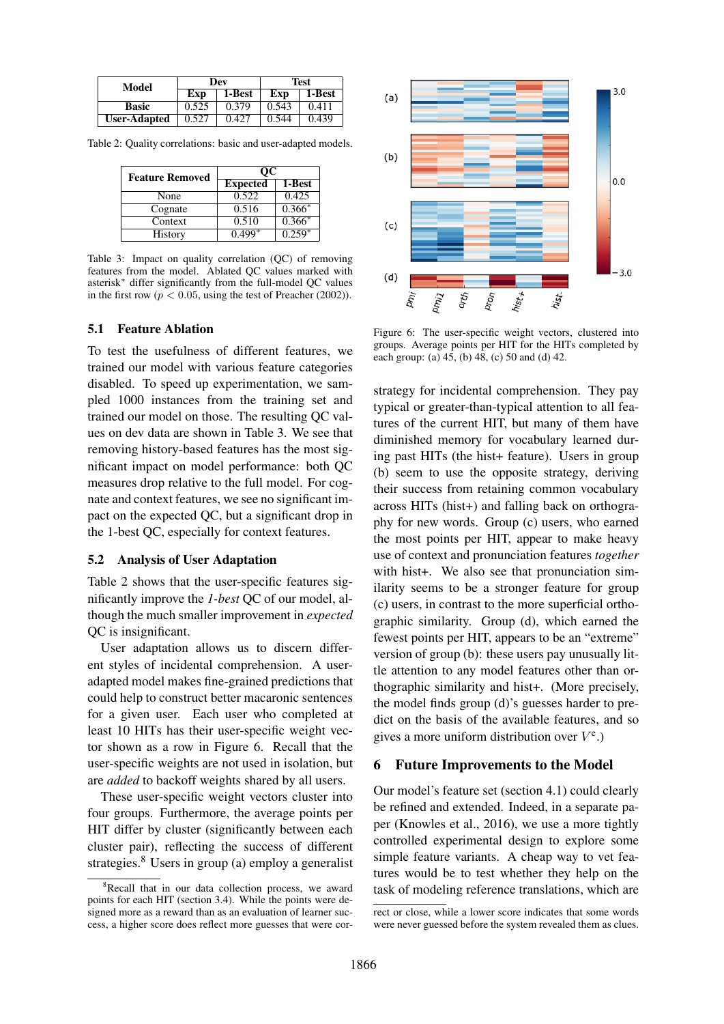| Model               |       | Dev    | Test  |        |  |
|---------------------|-------|--------|-------|--------|--|
|                     | Exp   | 1-Best | Exp   | 1-Best |  |
| <b>Basic</b>        | 0.525 | 0.379  | 0.543 | 0.411  |  |
| <b>User-Adapted</b> | 0.527 | 0.427  | 0.544 | 0.439  |  |

Table 2: Quality correlations: basic and user-adapted models.

| <b>Feature Removed</b> | OС              |          |  |  |
|------------------------|-----------------|----------|--|--|
|                        | <b>Expected</b> | 1-Best   |  |  |
| None                   | 0.522           | 0.425    |  |  |
| Cognate                | 0.516           | $0.366*$ |  |  |
| Context                | 0.510           | $0.366*$ |  |  |
| History                | $0.499*$        | $0.259*$ |  |  |

Table 3: Impact on quality correlation (QC) of removing features from the model. Ablated QC values marked with asterisk<sup>∗</sup> differ significantly from the full-model QC values in the first row ( $p < 0.05$ , using the test of Preacher (2002)).

# 5.1 Feature Ablation

To test the usefulness of different features, we trained our model with various feature categories disabled. To speed up experimentation, we sampled 1000 instances from the training set and trained our model on those. The resulting QC values on dev data are shown in Table 3. We see that removing history-based features has the most significant impact on model performance: both QC measures drop relative to the full model. For cognate and context features, we see no significant impact on the expected QC, but a significant drop in the 1-best QC, especially for context features.

#### 5.2 Analysis of User Adaptation

Table 2 shows that the user-specific features significantly improve the *1-best* QC of our model, although the much smaller improvement in *expected* QC is insignificant.

User adaptation allows us to discern different styles of incidental comprehension. A useradapted model makes fine-grained predictions that could help to construct better macaronic sentences for a given user. Each user who completed at least 10 HITs has their user-specific weight vector shown as a row in Figure 6. Recall that the user-specific weights are not used in isolation, but are *added* to backoff weights shared by all users.

These user-specific weight vectors cluster into four groups. Furthermore, the average points per HIT differ by cluster (significantly between each cluster pair), reflecting the success of different strategies.<sup>8</sup> Users in group (a) employ a generalist



Figure 6: The user-specific weight vectors, clustered into groups. Average points per HIT for the HITs completed by each group: (a) 45, (b) 48, (c) 50 and (d) 42.

strategy for incidental comprehension. They pay typical or greater-than-typical attention to all features of the current HIT, but many of them have diminished memory for vocabulary learned during past HITs (the hist+ feature). Users in group (b) seem to use the opposite strategy, deriving their success from retaining common vocabulary across HITs (hist+) and falling back on orthography for new words. Group (c) users, who earned the most points per HIT, appear to make heavy use of context and pronunciation features *together* with hist+. We also see that pronunciation similarity seems to be a stronger feature for group (c) users, in contrast to the more superficial orthographic similarity. Group (d), which earned the fewest points per HIT, appears to be an "extreme" version of group (b): these users pay unusually little attention to any model features other than orthographic similarity and hist+. (More precisely, the model finds group (d)'s guesses harder to predict on the basis of the available features, and so gives a more uniform distribution over  $V^e$ .)

#### 6 Future Improvements to the Model

Our model's feature set (section 4.1) could clearly be refined and extended. Indeed, in a separate paper (Knowles et al., 2016), we use a more tightly controlled experimental design to explore some simple feature variants. A cheap way to vet features would be to test whether they help on the task of modeling reference translations, which are

<sup>&</sup>lt;sup>8</sup>Recall that in our data collection process, we award points for each HIT (section 3.4). While the points were designed more as a reward than as an evaluation of learner success, a higher score does reflect more guesses that were cor-

rect or close, while a lower score indicates that some words were never guessed before the system revealed them as clues.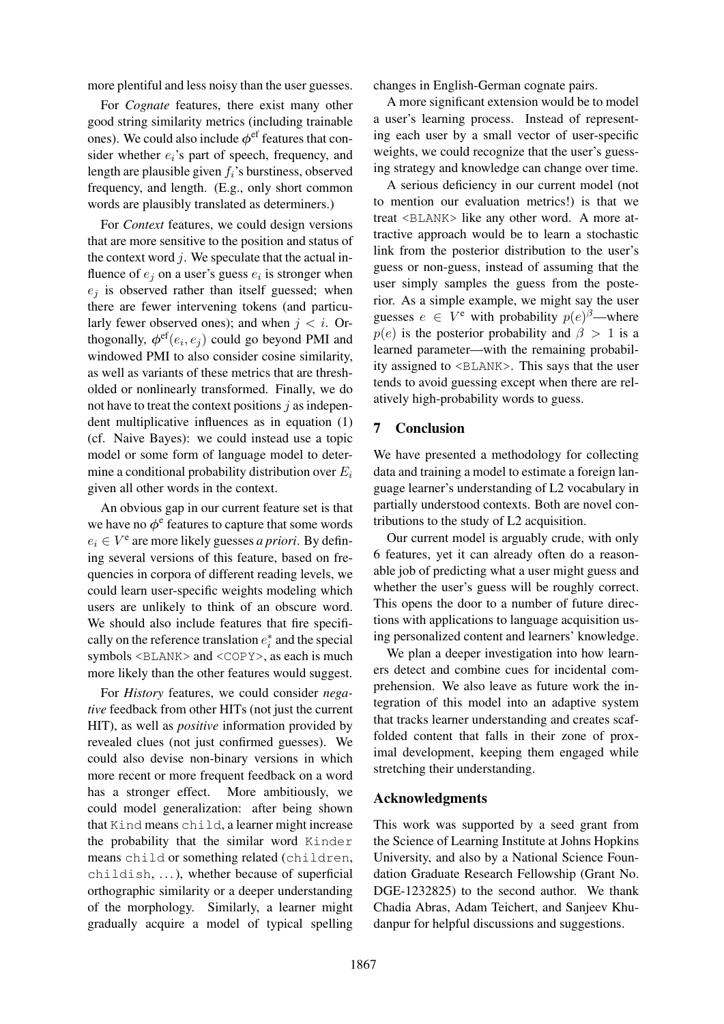more plentiful and less noisy than the user guesses.

For *Cognate* features, there exist many other good string similarity metrics (including trainable ones). We could also include  $\phi^{\text{ef}}$  features that consider whether  $e_i$ 's part of speech, frequency, and length are plausible given  $f_i$ 's burstiness, observed frequency, and length. (E.g., only short common words are plausibly translated as determiners.)

For *Context* features, we could design versions that are more sensitive to the position and status of the context word  $j$ . We speculate that the actual influence of  $e_j$  on a user's guess  $e_i$  is stronger when  $e_i$  is observed rather than itself guessed; when there are fewer intervening tokens (and particularly fewer observed ones); and when  $j < i$ . Orthogonally,  $\phi^{\rm ef}(e_i,e_j)$  could go beyond PMI and windowed PMI to also consider cosine similarity, as well as variants of these metrics that are thresholded or nonlinearly transformed. Finally, we do not have to treat the context positions  $j$  as independent multiplicative influences as in equation (1) (cf. Naive Bayes): we could instead use a topic model or some form of language model to determine a conditional probability distribution over  $E_i$ given all other words in the context.

An obvious gap in our current feature set is that we have no  $\phi^e$  features to capture that some words  $e_i \in V^e$  are more likely guesses *a priori*. By defining several versions of this feature, based on frequencies in corpora of different reading levels, we could learn user-specific weights modeling which users are unlikely to think of an obscure word. We should also include features that fire specifically on the reference translation  $e_i^*$  and the special symbols <BLANK> and <COPY>, as each is much more likely than the other features would suggest.

For *History* features, we could consider *negative* feedback from other HITs (not just the current HIT), as well as *positive* information provided by revealed clues (not just confirmed guesses). We could also devise non-binary versions in which more recent or more frequent feedback on a word has a stronger effect. More ambitiously, we could model generalization: after being shown that Kind means child, a learner might increase the probability that the similar word Kinder means child or something related (children, childish, ...), whether because of superficial orthographic similarity or a deeper understanding of the morphology. Similarly, a learner might gradually acquire a model of typical spelling

changes in English-German cognate pairs.

A more significant extension would be to model a user's learning process. Instead of representing each user by a small vector of user-specific weights, we could recognize that the user's guessing strategy and knowledge can change over time.

A serious deficiency in our current model (not to mention our evaluation metrics!) is that we treat <BLANK> like any other word. A more attractive approach would be to learn a stochastic link from the posterior distribution to the user's guess or non-guess, instead of assuming that the user simply samples the guess from the posterior. As a simple example, we might say the user guesses  $e \in V^e$  with probability  $p(e)^\beta$ —where  $p(e)$  is the posterior probability and  $\beta > 1$  is a learned parameter—with the remaining probability assigned to <BLANK>. This says that the user tends to avoid guessing except when there are relatively high-probability words to guess.

# 7 Conclusion

We have presented a methodology for collecting data and training a model to estimate a foreign language learner's understanding of L2 vocabulary in partially understood contexts. Both are novel contributions to the study of L2 acquisition.

Our current model is arguably crude, with only 6 features, yet it can already often do a reasonable job of predicting what a user might guess and whether the user's guess will be roughly correct. This opens the door to a number of future directions with applications to language acquisition using personalized content and learners' knowledge.

We plan a deeper investigation into how learners detect and combine cues for incidental comprehension. We also leave as future work the integration of this model into an adaptive system that tracks learner understanding and creates scaffolded content that falls in their zone of proximal development, keeping them engaged while stretching their understanding.

# Acknowledgments

This work was supported by a seed grant from the Science of Learning Institute at Johns Hopkins University, and also by a National Science Foundation Graduate Research Fellowship (Grant No. DGE-1232825) to the second author. We thank Chadia Abras, Adam Teichert, and Sanjeev Khudanpur for helpful discussions and suggestions.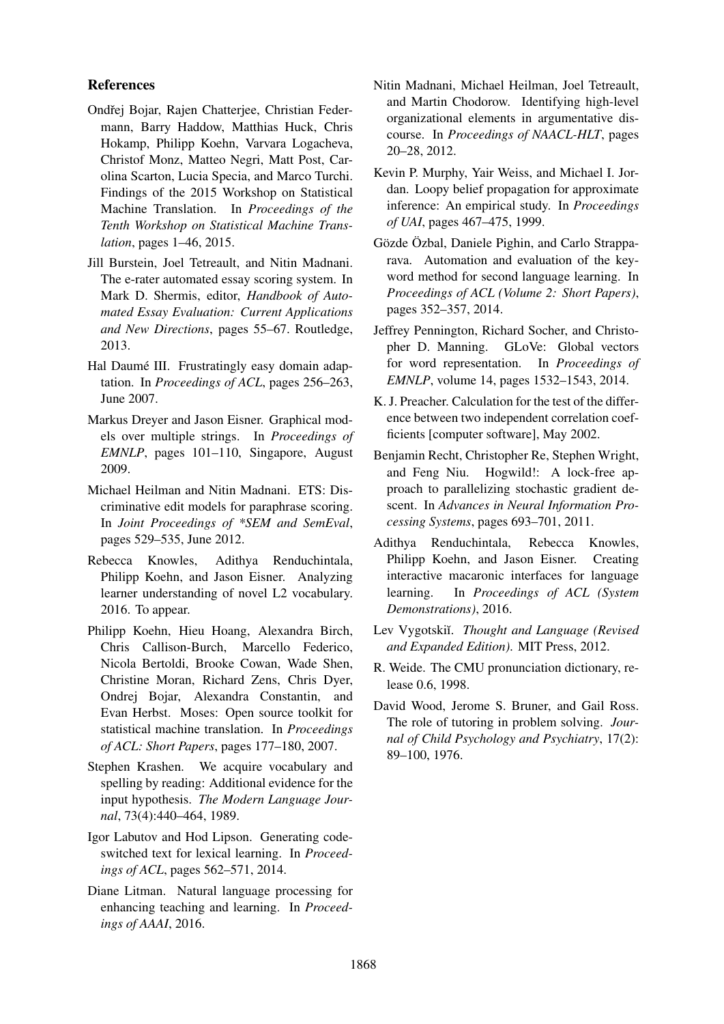# References

- Ondřej Bojar, Rajen Chatterjee, Christian Federmann, Barry Haddow, Matthias Huck, Chris Hokamp, Philipp Koehn, Varvara Logacheva, Christof Monz, Matteo Negri, Matt Post, Carolina Scarton, Lucia Specia, and Marco Turchi. Findings of the 2015 Workshop on Statistical Machine Translation. In *Proceedings of the Tenth Workshop on Statistical Machine Translation*, pages 1–46, 2015.
- Jill Burstein, Joel Tetreault, and Nitin Madnani. The e-rater automated essay scoring system. In Mark D. Shermis, editor, *Handbook of Automated Essay Evaluation: Current Applications and New Directions*, pages 55–67. Routledge, 2013.
- Hal Daumé III. Frustratingly easy domain adaptation. In *Proceedings of ACL*, pages 256–263, June 2007.
- Markus Dreyer and Jason Eisner. Graphical models over multiple strings. In *Proceedings of EMNLP*, pages 101–110, Singapore, August 2009.
- Michael Heilman and Nitin Madnani. ETS: Discriminative edit models for paraphrase scoring. In *Joint Proceedings of \*SEM and SemEval*, pages 529–535, June 2012.
- Rebecca Knowles, Adithya Renduchintala, Philipp Koehn, and Jason Eisner. Analyzing learner understanding of novel L2 vocabulary. 2016. To appear.
- Philipp Koehn, Hieu Hoang, Alexandra Birch, Chris Callison-Burch, Marcello Federico, Nicola Bertoldi, Brooke Cowan, Wade Shen, Christine Moran, Richard Zens, Chris Dyer, Ondrej Bojar, Alexandra Constantin, and Evan Herbst. Moses: Open source toolkit for statistical machine translation. In *Proceedings of ACL: Short Papers*, pages 177–180, 2007.
- Stephen Krashen. We acquire vocabulary and spelling by reading: Additional evidence for the input hypothesis. *The Modern Language Journal*, 73(4):440–464, 1989.
- Igor Labutov and Hod Lipson. Generating codeswitched text for lexical learning. In *Proceedings of ACL*, pages 562–571, 2014.
- Diane Litman. Natural language processing for enhancing teaching and learning. In *Proceedings of AAAI*, 2016.
- Nitin Madnani, Michael Heilman, Joel Tetreault, and Martin Chodorow. Identifying high-level organizational elements in argumentative discourse. In *Proceedings of NAACL-HLT*, pages 20–28, 2012.
- Kevin P. Murphy, Yair Weiss, and Michael I. Jordan. Loopy belief propagation for approximate inference: An empirical study. In *Proceedings of UAI*, pages 467–475, 1999.
- Gözde Özbal, Daniele Pighin, and Carlo Strapparava. Automation and evaluation of the keyword method for second language learning. In *Proceedings of ACL (Volume 2: Short Papers)*, pages 352–357, 2014.
- Jeffrey Pennington, Richard Socher, and Christopher D. Manning. GLoVe: Global vectors for word representation. In *Proceedings of EMNLP*, volume 14, pages 1532–1543, 2014.
- K. J. Preacher. Calculation for the test of the difference between two independent correlation coefficients [computer software], May 2002.
- Benjamin Recht, Christopher Re, Stephen Wright, and Feng Niu. Hogwild!: A lock-free approach to parallelizing stochastic gradient descent. In *Advances in Neural Information Processing Systems*, pages 693–701, 2011.
- Adithya Renduchintala, Rebecca Knowles, Philipp Koehn, and Jason Eisner. Creating interactive macaronic interfaces for language learning. In *Proceedings of ACL (System Demonstrations)*, 2016.
- Lev Vygotskii. Thought and Language (Revised *and Expanded Edition)*. MIT Press, 2012.
- R. Weide. The CMU pronunciation dictionary, release 0.6, 1998.
- David Wood, Jerome S. Bruner, and Gail Ross. The role of tutoring in problem solving. *Journal of Child Psychology and Psychiatry*, 17(2): 89–100, 1976.